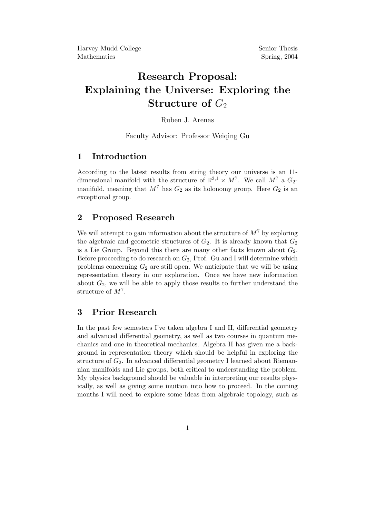# Research Proposal: Explaining the Universe: Exploring the Structure of  $G_2$

#### Ruben J. Arenas

Faculty Advisor: Professor Weiqing Gu

## 1 Introduction

According to the latest results from string theory our universe is an 11 dimensional manifold with the structure of  $\mathbb{R}^{3,1} \times M^7$ . We call  $M^7$  a  $G_2$ manifold, meaning that  $M^7$  has  $G_2$  as its holonomy group. Here  $G_2$  is an exceptional group.

## 2 Proposed Research

We will attempt to gain information about the structure of  $M<sup>7</sup>$  by exploring the algebraic and geometric structures of  $G_2$ . It is already known that  $G_2$ is a Lie Group. Beyond this there are many other facts known about  $G_2$ . Before proceeding to do research on  $G_2$ , Prof. Gu and I will determine which problems concerning  $G_2$  are still open. We anticipate that we will be using representation theory in our exploration. Once we have new information about  $G_2$ , we will be able to apply those results to further understand the structure of  $M^7$ .

#### 3 Prior Research

In the past few semesters I've taken algebra I and II, differential geometry and advanced differential geometry, as well as two courses in quantum mechanics and one in theoretical mechanics. Algebra II has given me a background in representation theory which should be helpful in exploring the structure of  $G_2$ . In advanced differential geometry I learned about Riemannian manifolds and Lie groups, both critical to understanding the problem. My physics background should be valuable in interpreting our results physically, as well as giving some inuition into how to proceed. In the coming months I will need to explore some ideas from algebraic topology, such as